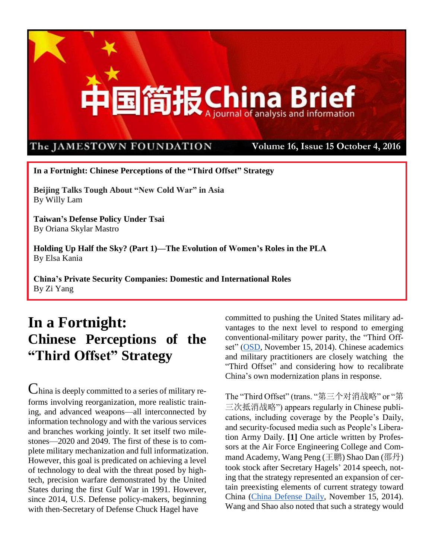

**In a Fortnight: Chinese Perceptions of the "Third Offset" Strategy**

**Beijing Talks Tough About "New Cold War" in Asia** By Willy Lam

**Taiwan's Defense Policy Under Tsai** By Oriana Skylar Mastro

**Holding Up Half the Sky? (Part 1)—The Evolution of Women's Roles in the PLA** By Elsa Kania

**China's Private Security Companies: Domestic and International Roles** By Zi Yang

## **In a Fortnight: Chinese Perceptions of the "Third Offset" Strategy**

China is deeply committed to a series of military reforms involving reorganization, more realistic training, and advanced weapons—all interconnected by information technology and with the various services and branches working jointly. It set itself two milestones—2020 and 2049. The first of these is to complete military mechanization and full informatization. However, this goal is predicated on achieving a level of technology to deal with the threat posed by hightech, precision warfare demonstrated by the United States during the first Gulf War in 1991. However, since 2014, U.S. Defense policy-makers, beginning with then-Secretary of Defense Chuck Hagel have

committed to pushing the United States military advantages to the next level to respond to emerging conventional-military power parity, the "Third Off-set" [\(OSD,](http://www.defense.gov/Portals/1/Documents/pubs/OSD013411-14.pdf) November 15, 2014). Chinese academics and military practitioners are closely watching the "Third Offset" and considering how to recalibrate China's own modernization plans in response.

The "Third Offset" (trans. "第三个对消战略" or "第 三次抵消战略") appears regularly in Chinese publications, including coverage by the People's Daily, and security-focused media such as People's Liberation Army Daily. **[1]** One article written by Professors at the Air Force Engineering College and Command Academy, Wang Peng (王鹏) Shao Dan (邵丹) took stock after Secretary Hagels' 2014 speech, noting that the strategy represented an expansion of certain preexisting elements of current strategy toward China [\(China Defense Daily,](http://www.81.cn/jkhc/2014-11/15/content_6225368.htm) November 15, 2014). Wang and Shao also noted that such a strategy would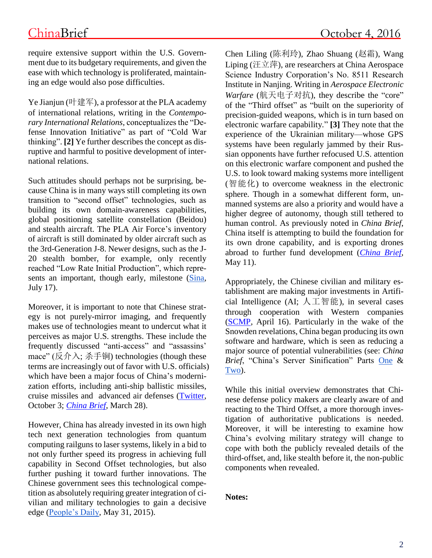require extensive support within the U.S. Government due to its budgetary requirements, and given the ease with which technology is proliferated, maintaining an edge would also pose difficulties.

Ye Jianjun (叶建军), a professor at the PLA academy of international relations, writing in the *Contemporary International Relations*, conceptualizes the "Defense Innovation Initiative" as part of "Cold War thinking". **[2]** Ye further describes the concept as disruptive and harmful to positive development of international relations.

Such attitudes should perhaps not be surprising, because China is in many ways still completing its own transition to "second offset" technologies, such as building its own domain-awareness capabilities, global positioning satellite constellation (Beidou) and stealth aircraft. The PLA Air Force's inventory of aircraft is still dominated by older aircraft such as the 3rd-Generation J-8. Newer designs, such as the J-20 stealth bomber, for example, only recently reached "Low Rate Initial Production", which repre-sents an important, though early, milestone [\(Sina,](http://mil.news.sina.com.cn/jssd/2016-07-17/doc-ifxuapvs8631128.shtml) July 17).

Moreover, it is important to note that Chinese strategy is not purely-mirror imaging, and frequently makes use of technologies meant to undercut what it perceives as major U.S. strengths. These include the frequently discussed "anti-access" and "assassins' mace" (反介入; 杀手锏) technologies (though these terms are increasingly out of favor with U.S. officials) which have been a major focus of China's modernization efforts, including anti-ship ballistic missiles, cruise missiles and advanced air defenses [\(Twitter,](https://twitter.com/CNORichardson/status/782945645137104897) October 3; *[China Brief](https://jamestown.org/program/beijing-ups-the-ante-in-south-china-sea-dispute-with-hq-9-deployment/)*, March 28).

However, China has already invested in its own high tech next generation technologies from quantum computing railguns to laser systems, likely in a bid to not only further speed its progress in achieving full capability in Second Offset technologies, but also further pushing it toward further innovations. The Chinese government sees this technological competition as absolutely requiring greater integration of civilian and military technologies to gain a decisive edge [\(People's Daily,](http://news.xinhuanet.com/comments/2015-05/31/c_1115462312.htm) May 31, 2015).

Chen Liling (陈利玲), Zhao Shuang (赵霜), Wang Liping (汪立萍), are researchers at China Aerospace Science Industry Corporation's No. 8511 Research Institute in Nanjing. Writing in *Aerospace Electronic Warfare* (航天电子对抗), they describe the "core" of the "Third offset" as "built on the superiority of precision-guided weapons, which is in turn based on electronic warfare capability." **[3]** They note that the experience of the Ukrainian military—whose GPS systems have been regularly jammed by their Russian opponents have further refocused U.S. attention on this electronic warfare component and pushed the U.S. to look toward making systems more intelligent (智能化) to overcome weakness in the electronic sphere. Though in a somewhat different form, unmanned systems are also a priority and would have a higher degree of autonomy, though still tethered to human control. As previously noted in *China Brief*, China itself is attempting to build the foundation for its own drone capability, and is exporting drones abroad to further fund development (*[China Brief](https://jamestown.org/program/the-human-and-organizational-dimensions-of-the-plas-unmanned-aerial-vehicle-systems/)*, May 11).

Appropriately, the Chinese civilian and military establishment are making major investments in Artificial Intelligence (AI; 人工智能), in several cases through cooperation with Western companies [\(SCMP,](http://www.scmp.com/tech/enterprises/article/1935579/china-lead-world-artificial-intelligence-says-top-microsoft) April 16). Particularly in the wake of the Snowden revelations, China began producing its own software and hardware, which is seen as reducing a major source of potential vulnerabilities (see: *China Brief*, "China's Server Sinification" Parts [One](http://www.jamestown.org/programs/chinabrief/single/?tx_ttnews%5Btt_news%5D=43437&cHash=248b4fdc547a80f3209b2a3aad3a1b1b#.V-iipDMrKJc) & [Two\)](http://www.jamestown.org/single/?tx_ttnews%5Btt_news%5D=43437&no_cache=1#.V-iiuzMrKJc).

While this initial overview demonstrates that Chinese defense policy makers are clearly aware of and reacting to the Third Offset, a more thorough investigation of authoritative publications is needed. Moreover, it will be interesting to examine how China's evolving military strategy will change to cope with both the publicly revealed details of the third-offset, and, like stealth before it, the non-public components when revealed.

### **Notes:**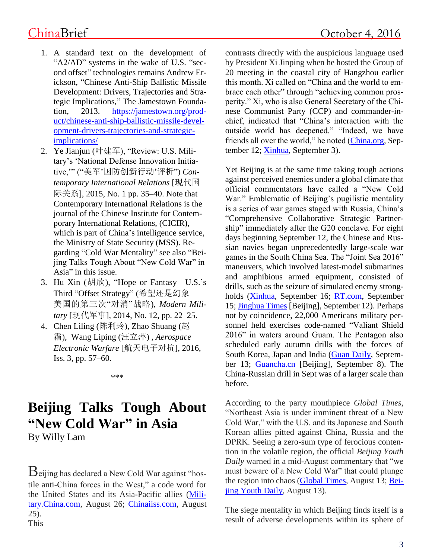- 1. A standard text on the development of "A2/AD" systems in the wake of U.S. "second offset" technologies remains Andrew Erickson, "Chinese Anti-Ship Ballistic Missile Development: Drivers, Trajectories and Strategic Implications," The Jamestown Foundation, 2013. [https://jamestown.org/prod](https://jamestown.org/product/chinese-anti-ship-ballistic-missile-development-drivers-trajectories-and-strategic-implications/)[uct/chinese-anti-ship-ballistic-missile-devel](https://jamestown.org/product/chinese-anti-ship-ballistic-missile-development-drivers-trajectories-and-strategic-implications/)[opment-drivers-trajectories-and-strategic](https://jamestown.org/product/chinese-anti-ship-ballistic-missile-development-drivers-trajectories-and-strategic-implications/)[implications/](https://jamestown.org/product/chinese-anti-ship-ballistic-missile-development-drivers-trajectories-and-strategic-implications/)
- 2. Ye Jianjun (叶建军), "Review: U.S. Military's 'National Defense Innovation Initiative,'" ("美军'国防创新行动'评析") *Contemporary International Relations* [现代国 际关系], 2015, No. 1 pp. 35–40. Note that Contemporary International Relations is the journal of the Chinese Institute for Contemporary International Relations, (CICIR), which is part of China's intelligence service, the Ministry of State Security (MSS). Regarding "Cold War Mentality" see also "Beijing Talks Tough About "New Cold War" in Asia" in this issue.
- 3. Hu Xin (胡欣), "Hope or Fantasy—U.S.'s Third "Offset Strategy" (希望还是幻象—— 美国的第三次"对消"战略), *Modern Military* [现代军事], 2014, No. 12, pp. 22–25.
- 4. Chen Liling (陈利玲), Zhao Shuang (赵 霜), Wang Liping (汪立萍) , *Aerospace Electronic Warfare* [航天电子对抗], 2016, Iss. 3, pp. 57–60.

\*\*\*

# **Beijing Talks Tough About "New Cold War" in Asia**

By Willy Lam

Beijing has declared a New Cold War against "hostile anti-China forces in the West," a code word for the United States and its Asia-Pacific allies [\(Mili](http://military.china.com/history4/62/20160826/23393529.html)[tary.China.com,](http://military.china.com/history4/62/20160826/23393529.html) August 26; [Chinaiiss.com,](http://mil.chinaiiss.com/html/20168/25/a860e5.html) August 25). This

contrasts directly with the auspicious language used by President Xi Jinping when he hosted the Group of 20 meeting in the coastal city of Hangzhou earlier this month. Xi called on "China and the world to embrace each other" through "achieving common prosperity." Xi, who is also General Secretary of the Chinese Communist Party (CCP) and commander-inchief, indicated that "China's interaction with the outside world has deepened." "Indeed, we have friends all over the world," he noted [\(China.org,](http://china.org.cn/opinion/2016-09/12/content_39281047.htm) September 12; [Xinhua,](http://finance.sina.com.cn/roll/2016-09-03/doc-ifxvpxua7808251.shtml?cre=financepagepc&mod=f&loc=2&r=9&doct=0&rfunc=52) September 3).

Yet Beijing is at the same time taking tough actions against perceived enemies under a global climate that official commentators have called a "New Cold War." Emblematic of Beijing's pugilistic mentality is a series of war games staged with Russia, China's "Comprehensive Collaborative Strategic Partnership" immediately after the G20 conclave. For eight days beginning September 12, the Chinese and Russian navies began unprecedentedly large-scale war games in the South China Sea. The "Joint Sea 2016" maneuvers, which involved latest-model submarines and amphibious armed equipment, consisted of drills, such as the seizure of simulated enemy strongholds [\(Xinhua,](http://www.globaltimes.cn/content/1006524.shtml) September 16; [RT.com,](https://www.rt.com/news/359397-china-russia-drill-active/) September 15; [Jinghua Times](http://epaper.jinghua.cn/html/2016-09/12/content_333580.htm) [Beijing], September 12). Perhaps not by coincidence, 22,000 Americans military personnel held exercises code-named "Valiant Shield 2016" in waters around Guam. The Pentagon also scheduled early autumn drills with the forces of South Korea, Japan and India [\(Guan Daily,](http://www.postguam.com/news/local/us-forces-kick-off-valiant-shield/article_a4e7671e-78c4-11e6-85db-a34e6ca2390d.html) September 13; [Guancha.cn](http://www.guancha.cn/america/2016_09_08_373881.shtml) [Beijing], September 8). The China-Russian drill in Sept was of a larger scale than before.

According to the party mouthpiece *Global Times*, "Northeast Asia is under imminent threat of a New Cold War," with the U.S. and its Japanese and South Korean allies pitted against China, Russia and the DPRK. Seeing a zero-sum type of ferocious contention in the volatile region, the official *Beijing Youth Daily* warned in a mid-August commentary that "we must beware of a New Cold War" that could plunge the region into chaos [\(Global Times,](http://opinion.huanqiu.com/plrd/2016-08/9303777.html) August 13; [Bei](http://epaper.ynet.com/html/2016-08/13/content_213040.htm?div=-1)jing [Youth Daily,](http://epaper.ynet.com/html/2016-08/13/content_213040.htm?div=-1) August 13).

The siege mentality in which Beijing finds itself is a **Volume 16, Issue 15 October 4** result of adverse developments within its sphere of **, 2016**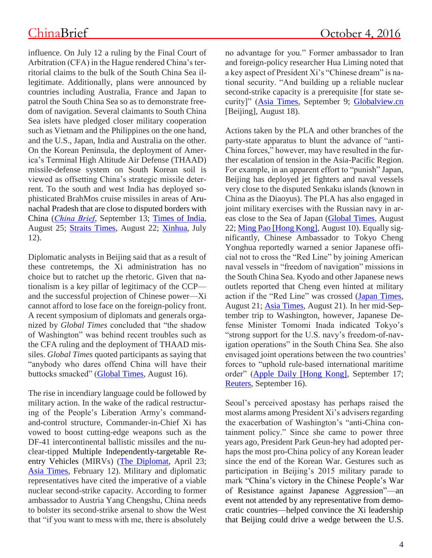influence. On July 12 a ruling by the Final Court of Arbitration (CFA) in the Hague rendered China's territorial claims to the bulk of the South China Sea illegitimate. Additionally, plans were announced by countries including Australia, France and Japan to patrol the South China Sea so as to demonstrate freedom of navigation. Several claimants to South China Sea islets have pledged closer military cooperation such as Vietnam and the Philippines on the one hand, and the U.S., Japan, India and Australia on the other. On the Korean Peninsula, the deployment of America's Terminal High Altitude Air Defense (THAAD) missile-defense system on South Korean soil is viewed as offsetting China's strategic missile deterrent. To the south and west India has deployed sophisticated BrahMos cruise missiles in areas of Arunachal Pradesh that are close to disputed borders with China (*[China Brief](http://www.jamestown.org/single/?tx_ttnews%5Btt_news%5D=45742&no_cache=1)*, September 13; [Times of India,](http://timesofindia.indiatimes.com/india/China-expresses-concern-over-Indias-plan-to-deploy-BrahMos-on-border/articleshow/53858404.cms) August 25; [Straits Times,](http://www.straitstimes.com/opinion/china-warming-to-new-cold-war) August 22; [Xinhua,](http://news.xinhuanet.com/english/2016-07/12/c_135507651.htm) July 12).

Diplomatic analysts in Beijing said that as a result of these contretemps, the Xi administration has no choice but to ratchet up the rhetoric. Given that nationalism is a key pillar of legitimacy of the CCP and the successful projection of Chinese power—Xi cannot afford to lose face on the foreign-policy front. A recent symposium of diplomats and generals organized by *Global Times* concluded that "the shadow of Washington" was behind recent troubles such as the CFA ruling and the deployment of THAAD missiles. *Global Times* quoted participants as saying that "anybody who dares offend China will have their buttocks smacked" [\(Global Times,](http://world.huanqiu.com/exclusive/2016-08/9311895.html) August 16).

The rise in incendiary language could be followed by military action. In the wake of the radical restructuring of the People's Liberation Army's commandand-control structure, Commander-in-Chief Xi has vowed to boost cutting-edge weapons such as the DF-41 intercontinental ballistic missiles and the nuclear-tipped Multiple Independently-targetable Reentry Vehicles (MIRVs) [\(The Diplomat,](http://thediplomat.com/2016/04/did-china-really-test-a-mirv-capable-icbm-near-the-south-china-sea/) April 23; [Asia Times,](http://atimes.com/2016/02/inside-the-ring-china-adds-mirv-warheads-to-older-df-5-icbms/) February 12). Military and diplomatic representatives have cited the imperative of a viable nuclear second-strike capacity. According to former ambassador to Austria Yang Chengshu, China needs to bolster its second-strike arsenal to show the West that "if you want to mess with me, there is absolutely no advantage for you." Former ambassador to Iran and foreign-policy researcher Hua Liming noted that a key aspect of President Xi's "Chinese dream" is national security. "And building up a reliable nuclear second-strike capacity is a prerequisite [for state security]" [\(Asia Times,](http://atimes.com/2016/09/chinas-disturbing-new-nuclear-buildup/) September 9; [Globalview.cn](http://www.globalview.cn/html/global/info_12938.html) [Beijing], August 18).

Actions taken by the PLA and other branches of the party-state apparatus to blunt the advance of "anti-China forces," however, may have resulted in the further escalation of tension in the Asia-Pacific Region. For example, in an apparent effort to "punish" Japan, Beijing has deployed jet fighters and naval vessels very close to the disputed Senkaku islands (known in China as the Diaoyus). The PLA has also engaged in joint military exercises with the Russian navy in areas close to the Sea of Japan [\(Global Times,](http://www.huanqiuzhiyin.com/hqgd/2016/08228333.html) August 22; [Ming Pao \[Hong Kong\],](http://premium.mingpao.com/cfm/Content_News.cfm?Channel=ca&Path=134674210804/caa2.cfm) August 10). Equally significantly, Chinese Ambassador to Tokyo Cheng Yonghua reportedly warned a senior Japanese official not to cross the "Red Line" by joining American naval vessels in "freedom of navigation" missions in the South China Sea. Kyodo and other Japanese news outlets reported that Cheng even hinted at military action if the "Red Line" was crossed [\(Japan Times,](http://www.japantimes.co.jp/news/2016/08/21/national/china-hinted-at-military-action-if-japan-sends-sdf-to-south-china-sea/#.V9z42OT_rbI) August 21; [Asia Times,](http://atimes.com/2016/08/china-strongly-warned-japan-not-to-send-sdf-to-south-china-sea/) August 21). In her mid-September trip to Washington, however, Japanese Defense Minister Tomomi Inada indicated Tokyo's "strong support for the U.S. navy's freedom-of-navigation operations" in the South China Sea. She also envisaged joint operations between the two countries' forces to "uphold rule-based international maritime order" [\(Apple Daily \[Hong Kong\],](http://hk.apple.nextmedia.com/international/art/20160917/19773060) September 17; [Reuters,](http://www.reuters.com/article/us-southchinasea-japan-patrols-idUSKCN11L2FE) September 16).

Seoul's perceived apostasy has perhaps raised the most alarms among President Xi's advisers regarding the exacerbation of Washington's "anti-China containment policy." Since she came to power three years ago, President Park Geun-hey had adopted perhaps the most pro-China policy of any Korean leader since the end of the Korean War. Gestures such as participation in Beijing's 2015 military parade to mark "China's victory in the Chinese People's War of Resistance against Japanese Aggression"—an event not attended by any representative from democratic countries—helped convince the Xi leadership that Beijing could drive a wedge between the U.S.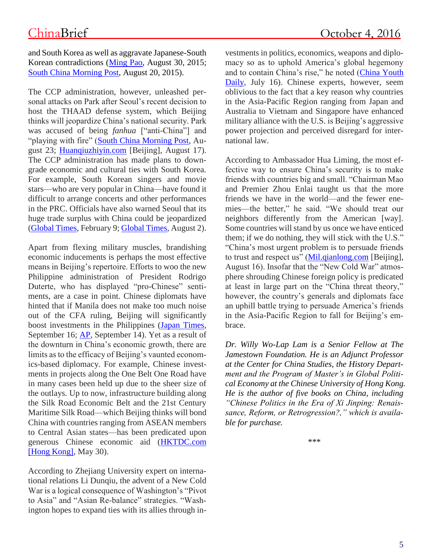and South Korea as well as aggravate Japanese-South Korean contradictions [\(Ming Pao,](http://news.mingpao.com/pns/%E7%A4%BE%E8%A9%95%EF%BC%9A%E6%99%82%E4%BB%A3%E5%9C%A8%E8%AE%8A%E6%9D%B1%E5%8C%97%E4%BA%9E%E4%BA%A6%E8%AE%8A%20%20%E6%9C%B4%E6%A7%BF%E6%83%A0%E8%A8%AA%E8%8F%AF%E6%84%8F%E7%BE%A9%E6%B7%B1%E9%81%A0/web_tc/article/20150830/s00003/1440871146763) August 30, 2015; [South China Morning Post,](http://www.scmp.com/news/china/diplomacy-defence/article/1851053/south-koreas-president-attend-second-world-war) August 20, 2015).

The CCP administration, however, unleashed personal attacks on Park after Seoul's recent decision to host the THAAD defense system, which Beijing thinks will jeopardize China's national security. Park was accused of being *fanhua* ["anti-China"] and "playing with fire" [\(South China Morning Post,](http://www.scmp.com/news/china/diplomacy-defence/article/2004520/response-pyongyang-rockets-signals-end-south-korean) August 23; [Huanqiuzhiyin.com](http://www.huanqiuzhiyin.com/hqgd/2016/08178247.html) [Beijing], August 17). The CCP administration has made plans to downgrade economic and cultural ties with South Korea. For example, South Korean singers and movie stars—who are very popular in China—have found it difficult to arrange concerts and other performances in the PRC. Officials have also warned Seoul that its huge trade surplus with China could be jeopardized [\(Global Times,](http://opinion.huanqiu.com/opinion_world/2016-02/8567837.html) February 9; [Global Times,](http://opinion.huanqiu.com/opinion_world/2016-08/9253412.html) August 2).

Apart from flexing military muscles, brandishing economic inducements is perhaps the most effective means in Beijing's repertoire. Efforts to woo the new Philippine administration of President Rodrigo Duterte, who has displayed "pro-Chinese" sentiments, are a case in point. Chinese diplomats have hinted that if Manila does not make too much noise out of the CFA ruling, Beijing will significantly boost investments in the Philippines [\(Japan Times,](http://www.japantimes.co.jp/news/2016/09/16/asia-pacific/dutertes-tilt-toward-china-risks-upending-u-s-pivot-toward-asia/#.V95Oc-T_rbI) September 16; [AP,](http://www.cbsnews.com/news/philippine-rodrigo-duterte-obama-us-ally-china-russia-south-china-sea/) September 14). Yet as a result of the downturn in China's economic growth, there are limits as to the efficacy of Beijing's vaunted economics-based diplomacy. For example, Chinese investments in projects along the One Belt One Road have in many cases been held up due to the sheer size of the outlays. Up to now, infrastructure building along the Silk Road Economic Belt and the 21st Century Maritime Silk Road—which Beijing thinks will bond China with countries ranging from ASEAN members to Central Asian states—has been predicated upon generous Chinese economic aid [\(HKTDC.com](http://beltandroad.hktdc.com/en/market-analyses/details.aspx?ID=474681)  [\[Hong Kong\],](http://beltandroad.hktdc.com/en/market-analyses/details.aspx?ID=474681) May 30).

According to Zhejiang University expert on international relations Li Dunqiu, the advent of a New Cold War is a logical consequence of Washington's "Pivot to Asia" and "Asian Re-balance" strategies. "Washington hopes to expand ties with its allies through investments in politics, economics, weapons and diplomacy so as to uphold America's global hegemony and to contain China's rise," he noted [\(China Youth](http://news.xinhuanet.com/world/2016-07/16/c_129151021.htm?from=groupmessage&isappinstalled=1)  [Daily,](http://news.xinhuanet.com/world/2016-07/16/c_129151021.htm?from=groupmessage&isappinstalled=1) July 16). Chinese experts, however, seem oblivious to the fact that a key reason why countries in the Asia-Pacific Region ranging from Japan and Australia to Vietnam and Singapore have enhanced military alliance with the U.S. is Beijing's aggressive power projection and perceived disregard for international law.

According to Ambassador Hua Liming, the most effective way to ensure China's security is to make friends with countries big and small. "Chairman Mao and Premier Zhou Enlai taught us that the more friends we have in the world—and the fewer enemies—the better," he said. "We should treat our neighbors differently from the American [way]. Some countries will stand by us once we have enticed them; if we do nothing, they will stick with the U.S." "China's most urgent problem is to persuade friends to trust and respect us" [\(Mil.qianlong.com](http://mil.qianlong.com/2016/0816/837980_4.shtml) [Beijing], August 16). Insofar that the "New Cold War" atmosphere shrouding Chinese foreign policy is predicated at least in large part on the "China threat theory," however, the country's generals and diplomats face an uphill battle trying to persuade America's friends in the Asia-Pacific Region to fall for Beijing's embrace.

*Dr. Willy Wo-Lap Lam is a Senior Fellow at The Jamestown Foundation. He is an Adjunct Professor at the Center for China Studies, the History Department and the Program of Master's in Global Political Economy at the Chinese University of Hong Kong. He is the author of five books on China, including "Chinese Politics in the Era of Xi Jinping: Renaissance, Reform, or Retrogression?," which is available for purchase.*

\*\*\*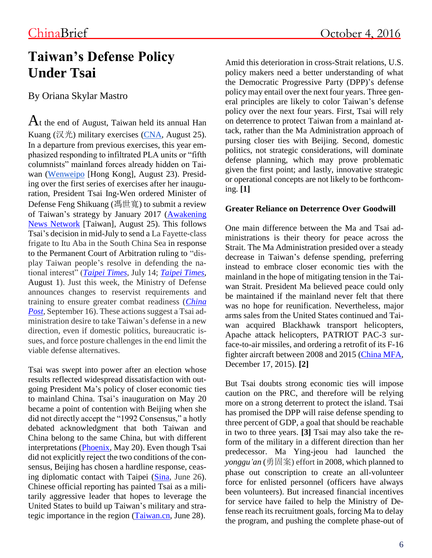## **Taiwan's Defense Policy Under Tsai**

By Oriana Skylar Mastro

 $A$ t the end of August, Taiwan held its annual Han Kuang (汉光) military exercises [\(CNA,](http://www.cna.com.tw/news/firstnews/201608250076-1.aspx) August 25). In a departure from previous exercises, this year emphasized responding to infiltrated PLA units or "fifth columnists" mainland forces already hidden on Taiwan [\(Wenweipo](http://news.wenweipo.com/2016/08/23/IN1608230007.htm) [Hong Kong], August 23). Presiding over the first series of exercises after her inauguration, President Tsai Ing-Wen ordered Minister of Defense Feng Shikuang (馮世寬) to submit a review of Taiwan's strategy by January 2017 [\(Awakening](https://anntw.com/articles/20160825-xUaZ)  [News Network](https://anntw.com/articles/20160825-xUaZ) [Taiwan], August 25). This follows Tsai's decision in mid-July to send a La Fayette-class frigate to Itu Aba in the South China Sea in response to the Permanent Court of Arbitration ruling to "display Taiwan people's resolve in defending the national interest" (*[Taipei Times](http://www.taipeitimes.com/News/front/archives/2016/07/14/2003650986)*, July 14; *[Taipei Times](http://www.taipeitimes.com/News/front/archives/2016/08/01/2003652209)*, August 1). Just this week, the Ministry of Defense announces changes to reservist requirements and training to ensure greater combat readiness (*[China](http://www.chinapost.com.tw/taiwan/national/national-news/2016/09/16/478570/MND-plans.htm)  [Post,](http://www.chinapost.com.tw/taiwan/national/national-news/2016/09/16/478570/MND-plans.htm)* September 16). These actions suggest a Tsai administration desire to take Taiwan's defense in a new direction, even if domestic politics, bureaucratic issues, and force posture challenges in the end limit the viable defense alternatives.

Tsai was swept into power after an election whose results reflected widespread dissatisfaction with outgoing President Ma's policy of closer economic ties to mainland China. Tsai's inauguration on May 20 became a point of contention with Beijing when she did not directly accept the "1992 Consensus," a hotly debated acknowledgment that both Taiwan and China belong to the same China, but with different interpretations [\(Phoenix,](http://news.ifeng.com/a/20160520/48811126_0.shtml) May 20). Even though Tsai did not explicitly reject the two conditions of the consensus, Beijing has chosen a hardline response, ceasing diplomatic contact with Taipei [\(Sina,](http://news.sina.com.cn/c/nd/2016-06-26/doc-ifxtmwei9303233.shtml) June 26). Chinese official reporting has painted Tsai as a militarily aggressive leader that hopes to leverage the United States to build up Taiwan's military and strategic importance in the region [\(Taiwan.cn,](http://www.taiwan.cn/plzhx/zhjzhl/zhjlw/201606/t20160628_11493398.htm) June 28).

Amid this deterioration in cross-Strait relations, U.S. policy makers need a better understanding of what the Democratic Progressive Party (DPP)'s defense policy may entail over the next four years. Three general principles are likely to color Taiwan's defense policy over the next four years. First, Tsai will rely on deterrence to protect Taiwan from a mainland attack, rather than the Ma Administration approach of pursing closer ties with Beijing. Second, domestic politics, not strategic considerations, will dominate defense planning, which may prove problematic given the first point; and lastly, innovative strategic or operational concepts are not likely to be forthcoming. **[1]**

### **Greater Reliance on Deterrence Over Goodwill**

One main difference between the Ma and Tsai administrations is their theory for peace across the Strait. The Ma Administration presided over a steady decrease in Taiwan's defense spending, preferring instead to embrace closer economic ties with the mainland in the hope of mitigating tension in the Taiwan Strait. President Ma believed peace could only be maintained if the mainland never felt that there was no hope for reunification. Nevertheless, major arms sales from the United States continued and Taiwan acquired Blackhawk transport helicopters, Apache attack helicopters, PATRIOT PAC-3 surface-to-air missiles, and ordering a retrofit of its F-16 fighter aircraft between 2008 and 2015 [\(China MFA,](http://www.fmprc.gov.cn/web/wjb_673085/zygy_673101/zzg_673159/xgxw_673161/t1325062.shtml) December 17, 2015). **[2]**

But Tsai doubts strong economic ties will impose caution on the PRC, and therefore will be relying more on a strong deterrent to protect the island. Tsai has promised the DPP will raise defense spending to three percent of GDP, a goal that should be reachable in two to three years. **[3]** Tsai may also take the reform of the military in a different direction than her predecessor. Ma Ying-jeou had launched the *yonggu'an* (勇固案) effort in 2008, which planned to phase out conscription to create an all-volunteer force for enlisted personnel (officers have always been volunteers). But increased financial incentives for service have failed to help the Ministry of Defense reach its recruitment goals, forcing Ma to delay the program, and pushing the complete phase-out of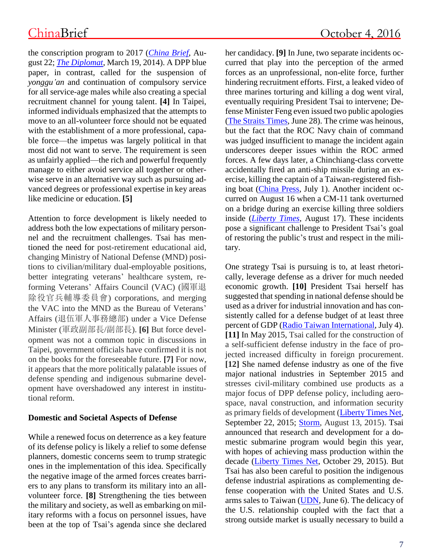the conscription program to 2017 (*[China Brief](http://www.jamestown.org/single/?tx_ttnews%5Btt_news%5D=45717&no_cache=1#.V909EJgrKUl)*, August 22; *[The Diplomat](http://thediplomat.com/2014/03/is-taiwans-military-becoming-too-small-to-fight/)*, March 19, 2014). A DPP blue paper, in contrast, called for the suspension of *yonggu'an* and continuation of compulsory service for all service-age males while also creating a special recruitment channel for young talent. **[4]** In Taipei, informed individuals emphasized that the attempts to move to an all-volunteer force should not be equated with the establishment of a more professional, capable force—the impetus was largely political in that most did not want to serve. The requirement is seen as unfairly applied—the rich and powerful frequently manage to either avoid service all together or otherwise serve in an alternative way such as pursuing advanced degrees or professional expertise in key areas like medicine or education. **[5]**

Attention to force development is likely needed to address both the low expectations of military personnel and the recruitment challenges. Tsai has mentioned the need for post-retirement educational aid, changing Ministry of National Defense (MND) positions to civilian/military dual-employable positions, better integrating veterans' healthcare system, reforming Veterans' Affairs Council (VAC) (國軍退 除役官兵輔導委員會) corporations, and merging the VAC into the MND as the Bureau of Veterans' Affairs (退伍軍人事務總部) under a Vice Defense Minister (軍政副部長/副部長). **[6]** But force development was not a common topic in discussions in Taipei, government officials have confirmed it is not on the books for the foreseeable future. **[7]** For now, it appears that the more politically palatable issues of defense spending and indigenous submarine development have overshadowed any interest in institutional reform.

### **Domestic and Societal Aspects of Defense**

While a renewed focus on deterrence as a key feature of its defense policy is likely a relief to some defense planners, domestic concerns seem to trump strategic ones in the implementation of this idea. Specifically the negative image of the armed forces creates barriers to any plans to transform its military into an allvolunteer force. **[8]** Strengthening the ties between the military and society, as well as embarking on military reforms with a focus on personnel issues, have been at the top of Tsai's agenda since she declared her candidacy. **[9]** In June, two separate incidents occurred that play into the perception of the armed forces as an unprofessional, non-elite force, further hindering recruitment efforts. First, a leaked video of three marines torturing and killing a dog went viral, eventually requiring President Tsai to intervene; Defense Minister Feng even issued two public apologies [\(The Straits Times,](http://www.straitstimes.com/asia/east-asia/soldiers-killing-of-stray-dog-sparks-uproar-in-taiwan) June 28). The crime was heinous, but the fact that the ROC Navy chain of command was judged insufficient to manage the incident again underscores deeper issues within the ROC armed forces. A few days later, a Chinchiang-class corvette accidentally fired an anti-ship missile during an exercise, killing the captain of a Taiwan-registered fishing boat [\(China Press,](http://www.chinapress.com.my/20160701/%E4%B8%AD%E5%9C%8B%E5%85%B1%E7%94%A2%E9%BB%A8%E9%BB%A8%E6%85%B6-%E5%8F%B0%E8%BB%8D%E8%89%A6%E8%AA%A4%E5%B0%84%E5%B0%8E%E5%BD%88-%E8%B2%AB%E7%A9%BF%E6%BC%81%E8%88%B91%E6%AD%BB3%E5%82%B7/) July 1). Another incident occurred on August 16 when a CM-11 tank overturned on a bridge during an exercise killing three soldiers inside (*[Liberty Times](http://news.ltn.com.tw/news/focus/paper/1022310)*, August 17). These incidents pose a significant challenge to President Tsai's goal of restoring the public's trust and respect in the military.

One strategy Tsai is pursuing is to, at least rhetorically, leverage defense as a driver for much needed economic growth. **[10]** President Tsai herself has suggested that spending in national defense should be used as a driver for industrial innovation and has consistently called for a defense budget of at least three percent of GDP [\(Radio Taiwan International,](http://news.rti.org.tw/news/detail/?recordId=280221) July 4). **[11]** In May 2015, Tsai called for the construction of a self-sufficient defense industry in the face of projected increased difficulty in foreign procurement. **[12]** She named defense industry as one of the five major national industries in September 2015 and stresses civil-military combined use products as a major focus of DPP defense policy, including aerospace, naval construction, and information security as primary fields of development [\(Liberty Times Net,](http://news.ltn.com.tw/news/politics/breakingnews/1453158) September 22, 2015; [Storm,](http://www.storm.mg/article/62449) August 13, 2015). Tsai announced that research and development for a domestic submarine program would begin this year, with hopes of achieving mass production within the decade [\(Liberty Times Net,](http://news.ltn.com.tw/news/politics/breakingnews/1490862) October 29, 2015). But Tsai has also been careful to position the indigenous defense industrial aspirations as complementing defense cooperation with the United States and U.S. arms sales to Taiwan [\(UDN,](http://udn.com/news/story/9485/1743909-%E8%94%A1%E8%8B%B1%E6%96%87-%E7%9B%BC%E7%BE%8E%E6%8C%81%E7%BA%8C%E5%B0%8D%E5%8F%B0%E8%BB%8D%E5%94%AE) June 6). The delicacy of the U.S. relationship coupled with the fact that a strong outside market is usually necessary to build a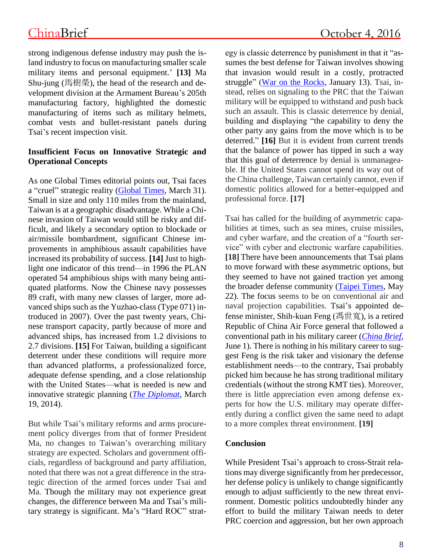strong indigenous defense industry may push the island industry to focus on manufacturing smaller scale military items and personal equipment.' **[13]** Ma Shu-jung (馬樹榮), the head of the research and development division at the Armament Bureau's 205th manufacturing factory, highlighted the domestic manufacturing of items such as military helmets, combat vests and bullet-resistant panels during Tsai's recent inspection visit.

### **Insufficient Focus on Innovative Strategic and Operational Concepts**

As one Global Times editorial points out, Tsai faces a "cruel" strategic reality [\(Global Times,](http://mil.huanqiu.com/observation/2016-03/8794031.html) March 31). Small in size and only 110 miles from the mainland, Taiwan is at a geographic disadvantage. While a Chinese invasion of Taiwan would still be risky and difficult, and likely a secondary option to blockade or air/missile bombardment, significant Chinese improvements in amphibious assault capabilities have increased its probability of success. **[14]** Just to highlight one indicator of this trend—in 1996 the PLAN operated 54 amphibious ships with many being antiquated platforms. Now the Chinese navy possesses 89 craft, with many new classes of larger, more advanced ships such as the Yuzhao-class (Type 071) introduced in 2007). Over the past twenty years, Chinese transport capacity, partly because of more and advanced ships, has increased from 1.2 divisions to 2.7 divisions. **[15]** For Taiwan, building a significant deterrent under these conditions will require more than advanced platforms, a professionalized force, adequate defense spending, and a close relationship with the United States—what is needed is new and innovative strategic planning (*[The Diplomat](http://thediplomat.com/2014/03/is-taiwans-military-becoming-too-small-to-fight/)*, March 19, 2014).

But while Tsai's military reforms and arms procurement policy diverges from that of former President Ma, no changes to Taiwan's overarching military strategy are expected. Scholars and government officials, regardless of background and party affiliation, noted that there was not a great difference in the strategic direction of the armed forces under Tsai and Ma. Though the military may not experience great changes, the difference between Ma and Tsai's military strategy is significant. Ma's "Hard ROC" strategy is classic deterrence by punishment in that it "assumes the best defense for Taiwan involves showing that invasion would result in a costly, protracted struggle" [\(War on the Rocks,](http://warontherocks.com/2016/01/the-cost-of-credible-deterrence-in-taiwan/) January 13). Tsai, instead, relies on signaling to the PRC that the Taiwan military will be equipped to withstand and push back such an assault. This is classic deterrence by denial, building and displaying "the capability to deny the other party any gains from the move which is to be deterred." **[16]** But it is evident from current trends that the balance of power has tipped in such a way that this goal of deterrence by denial is unmanageable. If the United States cannot spend its way out of the China challenge, Taiwan certainly cannot, even if domestic politics allowed for a better-equipped and professional force. **[17]**

Tsai has called for the building of asymmetric capabilities at times, such as sea mines, cruise missiles, and cyber warfare, and the creation of a "fourth service" with cyber and electronic warfare capabilities. **[18]** There have been announcements that Tsai plans to move forward with these asymmetric options, but they seemed to have not gained traction yet among the broader defense community [\(Taipei Times,](http://www.taipeitimes.com/News/taiwan/archives/2016/05/27/2003647240) May 22). The focus seems to be on conventional air and naval projection capabilities. Tsai's appointed defense minister, Shih-kuan Feng (馮世寬), is a retired Republic of China Air Force general that followed a conventional path in his military career (*[China Brief](http://www.jamestown.org/programs/chinabrief/single/?tx_ttnews%5Btt_news%5D=45487&tx_ttnews%5BbackPid%5D=828&no_cache=1#.V5NuLpN97rI)*, June 1). There is nothing in his military career to suggest Feng is the risk taker and visionary the defense establishment needs—to the contrary, Tsai probably picked him because he has strong traditional military credentials (without the strong KMT ties). Moreover, there is little appreciation even among defense experts for how the U.S. military may operate differently during a conflict given the same need to adapt to a more complex threat environment. **[19]**

### **Conclusion**

While President Tsai's approach to cross-Strait relations may diverge significantly from her predecessor, her defense policy is unlikely to change significantly enough to adjust sufficiently to the new threat environment. Domestic politics undoubtedly hinder any effort to build the military Taiwan needs to deter PRC coercion and aggression, but her own approach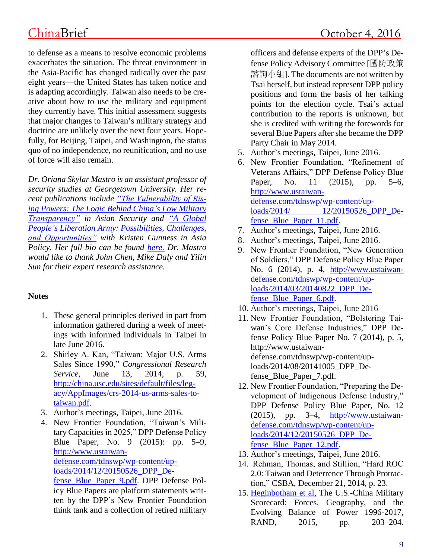to defense as a means to resolve economic problems exacerbates the situation. The threat environment in the Asia-Pacific has changed radically over the past eight years—the United States has taken notice and is adapting accordingly. Taiwan also needs to be creative about how to use the military and equipment they currently have. This initial assessment suggests that major changes to Taiwan's military strategy and doctrine are unlikely over the next four years. Hopefully, for Beijing, Taipei, and Washington, the status quo of no independence, no reunification, and no use of force will also remain.

*Dr. Oriana Skylar Mastro is an assistant professor of security studies at Georgetown University. Her recent publications include ["The Vulnerability of Ris](http://www.tandfonline.com/doi/full/10.1080/14799855.2016.1157786)[ing Powers: The Logic Behind China's Low Military](http://www.tandfonline.com/doi/full/10.1080/14799855.2016.1157786)  [Transparency"](http://www.tandfonline.com/doi/full/10.1080/14799855.2016.1157786) in Asian Security and ["A Global](http://nbr.org/publications/element.aspx?id=898)  [People's Liberation Army: Possibilities, Challenges,](http://nbr.org/publications/element.aspx?id=898)  [and Opportunities"](http://nbr.org/publications/element.aspx?id=898) with Kristen Gunness in Asia Policy. Her full bio can be found [here.](http://explore.georgetown.edu/people/om116/) Dr. Mastro would like to thank John Chen, Mike Daly and Yilin Sun for their expert research assistance.* 

### **Notes**

- 1. These general principles derived in part from information gathered during a week of meetings with informed individuals in Taipei in late June 2016.
- 2. Shirley A. Kan, "Taiwan: Major U.S. Arms Sales Since 1990," *Congressional Research Service,* June 13, 2014, p. 59, [http://china.usc.edu/sites/default/files/leg](http://china.usc.edu/sites/default/files/legacy/AppImages/crs-2014-us-arms-sales-to-taiwan.pdf)[acy/AppImages/crs-2014-us-arms-sales-to](http://china.usc.edu/sites/default/files/legacy/AppImages/crs-2014-us-arms-sales-to-taiwan.pdf)[taiwan.pdf.](http://china.usc.edu/sites/default/files/legacy/AppImages/crs-2014-us-arms-sales-to-taiwan.pdf)
- 3. Author's meetings, Taipei, June 2016.
- 4. New Frontier Foundation, "Taiwan's Military Capacities in 2025," DPP Defense Policy Blue Paper, No. 9 (2015): pp. 5–9, [http://www.ustaiwan](http://www.ustaiwandefense.com/tdnswp/wp-content/uploads/2014/12/20150526_DPP_Defense_Blue_Paper_9.pdf)[defense.com/tdnswp/wp-content/up](http://www.ustaiwandefense.com/tdnswp/wp-content/uploads/2014/12/20150526_DPP_Defense_Blue_Paper_9.pdf)[loads/2014/12/20150526\\_DPP\\_De](http://www.ustaiwandefense.com/tdnswp/wp-content/uploads/2014/12/20150526_DPP_Defense_Blue_Paper_9.pdf)[fense\\_Blue\\_Paper\\_9.pdf.](http://www.ustaiwandefense.com/tdnswp/wp-content/uploads/2014/12/20150526_DPP_Defense_Blue_Paper_9.pdf) DPP Defense Pol-

icy Blue Papers are platform statements written by the DPP's New Frontier Foundation think tank and a collection of retired military officers and defense experts of the DPP's Defense Policy Advisory Committee [國防政策 諮詢小組]. The documents are not written by Tsai herself, but instead represent DPP policy positions and form the basis of her talking points for the election cycle. Tsai's actual contribution to the reports is unknown, but she is credited with writing the forewords for several Blue Papers after she became the DPP Party Chair in May 2014.

- 5. Author's meetings, Taipei, June 2016.
- 6. New Frontier Foundation, "Refinement of Veterans Affairs," DPP Defense Policy Blue Paper, No. 11 (2015), pp. 5–6, [http://www.ustaiwan](http://www.ustaiwandefense.com/tdnswp/wp-content/uploads/2014/%2012/20150526_DPP_Defense_Blue_Paper_11.pdf)[defense.com/tdnswp/wp-content/up](http://www.ustaiwandefense.com/tdnswp/wp-content/uploads/2014/%2012/20150526_DPP_Defense_Blue_Paper_11.pdf)[loads/2014/ 12/20150526\\_DPP\\_De](http://www.ustaiwandefense.com/tdnswp/wp-content/uploads/2014/%2012/20150526_DPP_Defense_Blue_Paper_11.pdf)[fense\\_Blue\\_Paper\\_11.pdf.](http://www.ustaiwandefense.com/tdnswp/wp-content/uploads/2014/%2012/20150526_DPP_Defense_Blue_Paper_11.pdf)
- 7. Author's meetings, Taipei, June 2016.
- 8. Author's meetings, Taipei, June 2016.
- 9. New Frontier Foundation, "New Generation of Soldiers," DPP Defense Policy Blue Paper No. 6 (2014), p. 4, [http://www.ustaiwan](http://www.ustaiwandefense.com/tdnswp/wp-content/uploads/2014/03/20140822_DPP_Defense_Blue_Paper_6.pdf)[defense.com/tdnswp/wp-content/up](http://www.ustaiwandefense.com/tdnswp/wp-content/uploads/2014/03/20140822_DPP_Defense_Blue_Paper_6.pdf)[loads/2014/03/20140822\\_DPP\\_De](http://www.ustaiwandefense.com/tdnswp/wp-content/uploads/2014/03/20140822_DPP_Defense_Blue_Paper_6.pdf)[fense\\_Blue\\_Paper\\_6.pdf.](http://www.ustaiwandefense.com/tdnswp/wp-content/uploads/2014/03/20140822_DPP_Defense_Blue_Paper_6.pdf)
- 10. Author's meetings, Taipei, June 2016
- 11. New Frontier Foundation, "Bolstering Taiwan's Core Defense Industries," DPP Defense Policy Blue Paper No. 7 (2014), p. 5, http://www.ustaiwandefense.com/tdnswp/wp-content/uploads/2014/08/20141005\_DPP\_Defense\_Blue\_Paper\_7.pdf.
- 12. New Frontier Foundation, "Preparing the Development of Indigenous Defense Industry," DPP Defense Policy Blue Paper, No. 12 (2015), pp. 3–4, [http://www.ustaiwan](http://www.ustaiwandefense.com/tdnswp/wp-content/uploads/2014/12/20150526_DPP_Defense_Blue_Paper_12.pdf)[defense.com/tdnswp/wp-content/up](http://www.ustaiwandefense.com/tdnswp/wp-content/uploads/2014/12/20150526_DPP_Defense_Blue_Paper_12.pdf)[loads/2014/12/20150526\\_DPP\\_De](http://www.ustaiwandefense.com/tdnswp/wp-content/uploads/2014/12/20150526_DPP_Defense_Blue_Paper_12.pdf)[fense\\_Blue\\_Paper\\_12.pdf.](http://www.ustaiwandefense.com/tdnswp/wp-content/uploads/2014/12/20150526_DPP_Defense_Blue_Paper_12.pdf)
- 13. Author's meetings, Taipei, June 2016.
- 14. Rehman, Thomas, and Stillion, "Hard ROC 2.0: Taiwan and Deterrence Through Protraction," CSBA, December 21, 2014, p. 23.
- 15. [Heginbotham et al,](http://www.rand.org/content/dam/rand/pubs/research_reports/RR300/RR392/RAND_RR392.pdf) The U.S.-China Military Scorecard: Forces, Geography, and the Evolving Balance of Power 1996-2017, RAND, 2015, pp. 203–204.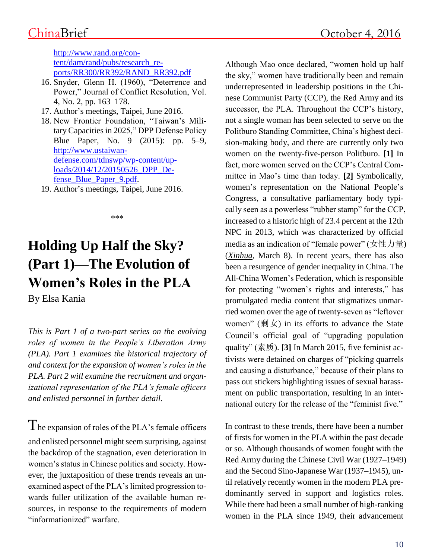[http://www.rand.org/con](http://www.rand.org/content/dam/rand/pubs/research_reports/RR300/RR392/RAND_RR392.pdf)[tent/dam/rand/pubs/research\\_re](http://www.rand.org/content/dam/rand/pubs/research_reports/RR300/RR392/RAND_RR392.pdf)[ports/RR300/RR392/RAND\\_RR392.pdf](http://www.rand.org/content/dam/rand/pubs/research_reports/RR300/RR392/RAND_RR392.pdf)

- 16. Snyder, Glenn H. (1960), "Deterrence and Power," Journal of Conflict Resolution, Vol. 4, No. 2, pp. 163–178.
- 17. Author's meetings, Taipei, June 2016.
- 18. New Frontier Foundation, "Taiwan's Military Capacities in 2025," DPP Defense Policy Blue Paper, No. 9 (2015): pp. 5–9, [http://www.ustaiwan](http://www.ustaiwandefense.com/tdnswp/wp-content/uploads/2014/12/20150526_DPP_Defense_Blue_Paper_9.pdf)[defense.com/tdnswp/wp-content/up](http://www.ustaiwandefense.com/tdnswp/wp-content/uploads/2014/12/20150526_DPP_Defense_Blue_Paper_9.pdf)[loads/2014/12/20150526\\_DPP\\_De](http://www.ustaiwandefense.com/tdnswp/wp-content/uploads/2014/12/20150526_DPP_Defense_Blue_Paper_9.pdf)[fense\\_Blue\\_Paper\\_9.pdf.](http://www.ustaiwandefense.com/tdnswp/wp-content/uploads/2014/12/20150526_DPP_Defense_Blue_Paper_9.pdf)
- 19. Author's meetings, Taipei, June 2016.

\*\*\*

# **Holding Up Half the Sky? (Part 1)—The Evolution of Women's Roles in the PLA**

By Elsa Kania

*This is Part 1 of a two-part series on the evolving roles of women in the People's Liberation Army (PLA). Part 1 examines the historical trajectory of and context for the expansion of women's roles in the PLA. Part 2 will examine the recruitment and organizational representation of the PLA's female officers and enlisted personnel in further detail.*

The expansion of roles of the PLA's female officers and enlisted personnel might seem surprising, against the backdrop of the stagnation, even deterioration in women's status in Chinese politics and society. However, the juxtaposition of these trends reveals an unexamined aspect of the PLA's limited progression towards fuller utilization of the available human resources, in response to the requirements of modern "informationized" warfare.

Although Mao once declared, "women hold up half the sky," women have traditionally been and remain underrepresented in leadership positions in the Chinese Communist Party (CCP), the Red Army and its successor, the PLA. Throughout the CCP's history, not a single woman has been selected to serve on the Politburo Standing Committee, China's highest decision-making body, and there are currently only two women on the twenty-five-person Politburo. **[1]** In fact, more women served on the CCP's Central Committee in Mao's time than today. **[2]** Symbolically, women's representation on the National People's Congress, a consultative parliamentary body typically seen as a powerless "rubber stamp" for the CCP, increased to a historic high of 23.4 percent at the 12th NPC in 2013, which was characterized by official media as an indication of "female power" (女性力量) (*[Xinhua](http://www.studytimes.cn/zydx/TBCH/XXSBZLH/2016LHSY/2016-03-08/4951.html)*, March 8). In recent years, there has also been a resurgence of gender inequality in China. The All-China Women's Federation, which is responsible for protecting "women's rights and interests," has promulgated media content that stigmatizes unmarried women over the age of twenty-seven as "leftover women" (剩女) in its efforts to advance the State Council's official goal of "upgrading population quality" (素质). **[3]** In March 2015, five feminist activists were detained on charges of "picking quarrels and causing a disturbance," because of their plans to pass out stickers highlighting issues of sexual harassment on public transportation, resulting in an international outcry for the release of the "feminist five."

In contrast to these trends, there have been a number of firsts for women in the PLA within the past decade or so. Although thousands of women fought with the Red Army during the Chinese Civil War (1927–1949) and the Second Sino-Japanese War (1937–1945), until relatively recently women in the modern PLA predominantly served in support and logistics roles. While there had been a small number of high-ranking women in the PLA since 1949, their advancement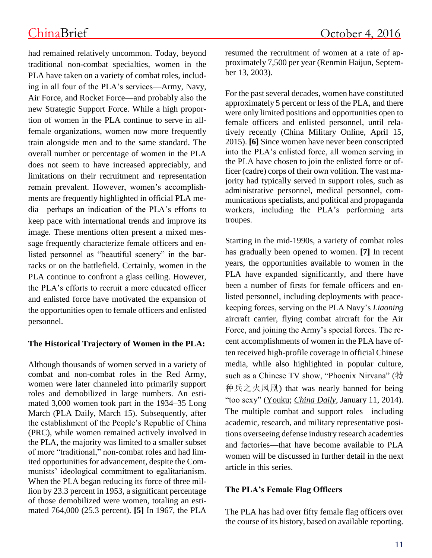had remained relatively uncommon. Today, beyond traditional non-combat specialties, women in the PLA have taken on a variety of combat roles, including in all four of the PLA's services—Army, Navy, Air Force, and Rocket Force—and probably also the new Strategic Support Force. While a high proportion of women in the PLA continue to serve in allfemale organizations, women now more frequently train alongside men and to the same standard. The overall number or percentage of women in the PLA does not seem to have increased appreciably, and limitations on their recruitment and representation remain prevalent. However, women's accomplishments are frequently highlighted in official PLA media—perhaps an indication of the PLA's efforts to keep pace with international trends and improve its image. These mentions often present a mixed message frequently characterize female officers and enlisted personnel as "beautiful scenery" in the barracks or on the battlefield. Certainly, women in the PLA continue to confront a glass ceiling. However, the PLA's efforts to recruit a more educated officer and enlisted force have motivated the expansion of the opportunities open to female officers and enlisted personnel.

### **The Historical Trajectory of Women in the PLA:**

Although thousands of women served in a variety of combat and non-combat roles in the Red Army, women were later channeled into primarily support roles and demobilized in large numbers. An estimated 3,000 women took part in the 1934–35 Long March [\(PLA Daily,](http://www.81.cn/zgnb/2016-03/15/content_6960816.htm) March 15). Subsequently, after the establishment of the People's Republic of China (PRC), while women remained actively involved in the PLA, the majority was limited to a smaller subset of more "traditional," non-combat roles and had limited opportunities for advancement, despite the Communists' ideological commitment to egalitarianism. When the PLA began reducing its force of three million by 23.3 percent in 1953, a significant percentage of those demobilized were women, totaling an estimated 764,000 (25.3 percent). **[5]** In 1967, the PLA resumed the recruitment of women at a rate of approximately 7,500 per year (Renmin Haijun, September 13, 2003).

For the past several decades, women have constituted approximately 5 percent or less of the PLA, and there were only limited positions and opportunities open to female officers and enlisted personnel, until relatively recently [\(China Military Online,](http://www.81.cn/zgnb/2015-04/15/content_6442719.htm) April 15, 2015). **[6]** Since women have never been conscripted into the PLA's enlisted force, all women serving in the PLA have chosen to join the enlisted force or officer (cadre) corps of their own volition. The vast majority had typically served in support roles, such as administrative personnel, medical personnel, communications specialists, and political and propaganda workers, including the PLA's performing arts troupes.

Starting in the mid-1990s, a variety of combat roles has gradually been opened to women. **[7]** In recent years, the opportunities available to women in the PLA have expanded significantly, and there have been a number of firsts for female officers and enlisted personnel, including deployments with peacekeeping forces, serving on the PLA Navy's *Liaoning* aircraft carrier, flying combat aircraft for the Air Force, and joining the Army's special forces. The recent accomplishments of women in the PLA have often received high-profile coverage in official Chinese media, while also highlighted in popular culture, such as a Chinese TV show, "Phoenix Nirvana" (特 种兵之火凤凰) that was nearly banned for being "too sexy" [\(Youku;](http://www.youku.com/show_page/id_z37d66582d70311e29748.html) *[China Daily](http://www.chinadaily.com.cn/micro-reading/dzh/2014-01-11/content_11014031.html)*, January 11, 2014). The multiple combat and support roles—including academic, research, and military representative positions overseeing defense industry research academies and factories—that have become available to PLA women will be discussed in further detail in the next article in this series.

### **The PLA's Female Flag Officers**

The PLA has had over fifty female flag officers over the course of its history, based on available reporting.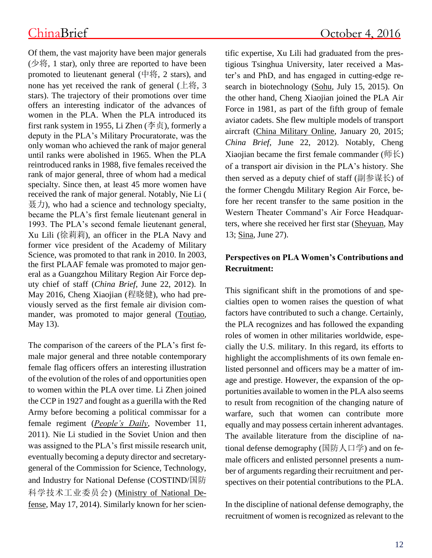Of them, the vast majority have been major generals  $(①$  将, 1 star), only three are reported to have been promoted to lieutenant general  $(\n\psi, \mathcal{Z})$  stars), and none has yet received the rank of general  $(\pm \n\frac{1}{3}, 3)$ stars). The trajectory of their promotions over time offers an interesting indicator of the advances of women in the PLA. When the PLA introduced its first rank system in 1955, Li Zhen (李贞), formerly a deputy in the PLA's Military Procuratorate, was the only woman who achieved the rank of major general until ranks were abolished in 1965. When the PLA reintroduced ranks in 1988, five females received the rank of major general, three of whom had a medical specialty. Since then, at least 45 more women have received the rank of major general. Notably, Nie Li (  $\frac{1}{2}$ ( $\frac{1}{2}$ ), who had a science and technology specialty, became the PLA's first female lieutenant general in 1993. The PLA's second female lieutenant general, Xu Lili (徐莉莉), an officer in the PLA Navy and former vice president of the Academy of Military Science, was promoted to that rank in 2010. In 2003, the first PLAAF female was promoted to major general as a Guangzhou Military Region Air Force deputy chief of staff (*China Brief*, June 22, 2012). In May 2016, Cheng Xiaojian (程晓健), who had previously served as the first female air division commander, was promoted to major general [\(Toutiao,](https://www.toutiao.com/i6284083163190788610) May 13).

The comparison of the careers of the PLA's first female major general and three notable contemporary female flag officers offers an interesting illustration of the evolution of the roles of and opportunities open to women within the PLA over time. Li Zhen joined the CCP in 1927 and fought as a guerilla with the Red Army before becoming a political commissar for a female regiment (*[People's Daily](http://dangshi.people.com.cn/GB/16217215.html)*, November 11, 2011). Nie Li studied in the Soviet Union and then was assigned to the PLA's first missile research unit, eventually becoming a deputy director and secretarygeneral of the Commission for Science, Technology, and Industry for National Defense (COSTIND/国防 科学技术工业委员会) [\(Ministry of National De](http://www.mod.gov.cn/hist/2014-05/17/content_4509441.htm)[fense,](http://www.mod.gov.cn/hist/2014-05/17/content_4509441.htm) May 17, 2014). Similarly known for her scientific expertise, Xu Lili had graduated from the prestigious Tsinghua University, later received a Master's and PhD, and has engaged in cutting-edge research in biotechnology [\(Sohu,](http://mil.sohu.com/20150715/n416829215.shtml) July 15, 2015). On the other hand, Cheng Xiaojian joined the PLA Air Force in 1981, as part of the fifth group of female aviator cadets. She flew multiple models of transport aircraft [\(China Military Online,](http://www.81.cn/jsdj/2015-01/20/content_6315884.htm) January 20, 2015; *China Brief*, June 22, 2012). Notably, Cheng Xiaojian became the first female commander ( $\sqrt{m} \xi$ ) of a transport air division in the PLA's history. She then served as a deputy chief of staff (副参谋长) of the former Chengdu Military Region Air Force, before her recent transfer to the same position in the Western Theater Command's Air Force Headquarters, where she received her first star [\(Sheyuan,](http://zixun.sheyuan.com/shenghuo/5735b3b630359d3947c5a1a6.html) May 13[;](http://mil.news.sina.com.cn/china/2016-06-27/doc-ifxtmwei9316637.shtml) [Sina,](http://mil.news.sina.com.cn/china/2016-06-27/doc-ifxtmwei9316637.shtml) June 27).

### **Perspectives on PLA Women's Contributions and Recruitment:**

This significant shift in the promotions of and specialties open to women raises the question of what factors have contributed to such a change. Certainly, the PLA recognizes and has followed the expanding roles of women in other militaries worldwide, especially the U.S. military. In this regard, its efforts to highlight the accomplishments of its own female enlisted personnel and officers may be a matter of image and prestige. However, the expansion of the opportunities available to women in the PLA also seems to result from recognition of the changing nature of warfare, such that women can contribute more equally and may possess certain inherent advantages. The available literature from the discipline of national defense demography (国防人口学) and on female officers and enlisted personnel presents a number of arguments regarding their recruitment and perspectives on their potential contributions to the PLA.

In the discipline of national defense demography, the recruitment of women is recognized as relevant to the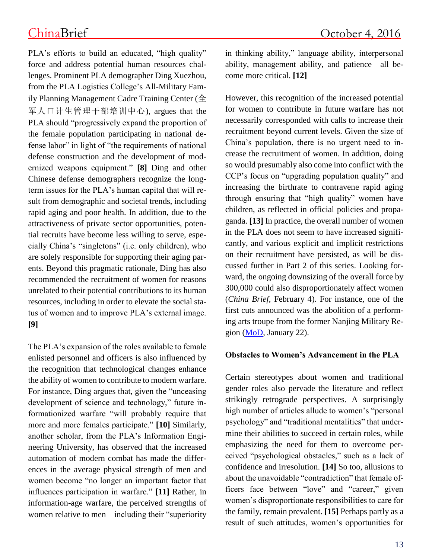PLA's efforts to build an educated, "high quality" force and address potential human resources challenges. Prominent PLA demographer Ding Xuezhou, from the PLA Logistics College's All-Military Family Planning Management Cadre Training Center (全 军人口计生管理干部培训中心), argues that the PLA should "progressively expand the proportion of the female population participating in national defense labor" in light of "the requirements of national defense construction and the development of modernized weapons equipment." **[8]** Ding and other Chinese defense demographers recognize the longterm issues for the PLA's human capital that will result from demographic and societal trends, including rapid aging and poor health. In addition, due to the attractiveness of private sector opportunities, potential recruits have become less willing to serve, especially China's "singletons" (i.e. only children), who are solely responsible for supporting their aging parents. Beyond this pragmatic rationale, Ding has also recommended the recruitment of women for reasons unrelated to their potential contributions to its human resources, including in order to elevate the social status of women and to improve PLA's external image. **[9]** 

The PLA's expansion of the roles available to female enlisted personnel and officers is also influenced by the recognition that technological changes enhance the ability of women to contribute to modern warfare. For instance, Ding argues that, given the "unceasing development of science and technology," future informationized warfare "will probably require that more and more females participate." **[10]** Similarly, another scholar, from the PLA's Information Engineering University, has observed that the increased automation of modern combat has made the differences in the average physical strength of men and women become "no longer an important factor that influences participation in warfare." **[11]** Rather, in information-age warfare, the perceived strengths of women relative to men—including their "superiority in thinking ability," language ability, interpersonal ability, management ability, and patience—all become more critical. **[12]**

However, this recognition of the increased potential for women to contribute in future warfare has not necessarily corresponded with calls to increase their recruitment beyond current levels. Given the size of China's population, there is no urgent need to increase the recruitment of women. In addition, doing so would presumably also come into conflict with the CCP's focus on "upgrading population quality" and increasing the birthrate to contravene rapid aging through ensuring that "high quality" women have children, as reflected in official policies and propaganda. **[13]** In practice, the overall number of women in the PLA does not seem to have increased significantly, and various explicit and implicit restrictions on their recruitment have persisted, as will be discussed further in Part 2 of this series. Looking forward, the ongoing downsizing of the overall force by 300,000 could also disproportionately affect women (*[China Brief](http://www.jamestown.org/single/?tx_ttnews%5Btt_news%5D=45069&no_cache=1#.V7tTIpMrI_U)*, February 4). For instance, one of the first cuts announced was the abolition of a performing arts troupe from the former Nanjing Military Region [\(MoD,](http://eng.mod.gov.cn/TopNews/2016-01/22/content_4637164.htm) January 22).

### **Obstacles to Women's Advancement in the PLA**

Certain stereotypes about women and traditional gender roles also pervade the literature and reflect strikingly retrograde perspectives. A surprisingly high number of articles allude to women's "personal psychology" and "traditional mentalities" that undermine their abilities to succeed in certain roles, while emphasizing the need for them to overcome perceived "psychological obstacles," such as a lack of confidence and irresolution. **[14]** So too, allusions to about the unavoidable "contradiction" that female officers face between "love" and "career," given women's disproportionate responsibilities to care for the family, remain prevalent. **[15]** Perhaps partly as a result of such attitudes, women's opportunities for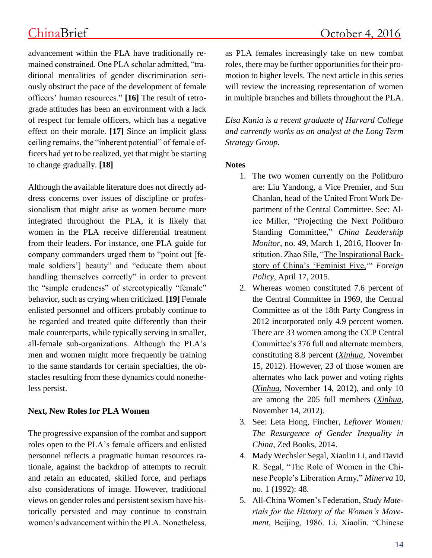advancement within the PLA have traditionally remained constrained. One PLA scholar admitted, "traditional mentalities of gender discrimination seriously obstruct the pace of the development of female officers' human resources." **[16]** The result of retrograde attitudes has been an environment with a lack of respect for female officers, which has a negative effect on their morale. **[17]** Since an implicit glass ceiling remains, the "inherent potential" of female officers had yet to be realized, yet that might be starting to change gradually. **[18]**

Although the available literature does not directly address concerns over issues of discipline or professionalism that might arise as women become more integrated throughout the PLA, it is likely that women in the PLA receive differential treatment from their leaders. For instance, one PLA guide for company commanders urged them to "point out [female soldiers'] beauty" and "educate them about handling themselves correctly" in order to prevent the "simple crudeness" of stereotypically "female" behavior, such as crying when criticized. **[19]** Female enlisted personnel and officers probably continue to be regarded and treated quite differently than their male counterparts, while typically serving in smaller, all-female sub-organizations. Although the PLA's men and women might more frequently be training to the same standards for certain specialties, the obstacles resulting from these dynamics could nonetheless persist.

### **Next, New Roles for PLA Women**

The progressive expansion of the combat and support roles open to the PLA's female officers and enlisted personnel reflects a pragmatic human resources rationale, against the backdrop of attempts to recruit and retain an educated, skilled force, and perhaps also considerations of image. However, traditional views on gender roles and persistent sexism have historically persisted and may continue to constrain women's advancement within the PLA. Nonetheless, as PLA females increasingly take on new combat roles, there may be further opportunities for their promotion to higher levels. The next article in this series will review the increasing representation of women in multiple branches and billets throughout the PLA.

*Elsa Kania is a recent graduate of Harvard College and currently works as an analyst at the Long Term Strategy Group.*

### **Notes**

- 1. The two women currently on the Politburo are: Liu Yandong, a Vice Premier, and Sun Chanlan, head of the United Front Work Department of the Central Committee. See: Alice Miller, ["Projecting the Next Politburo](http://www.hoover.org/sites/default/files/research/docs/clm49am.pdf)  [Standing Committee,](http://www.hoover.org/sites/default/files/research/docs/clm49am.pdf)" *China Leadership Monitor*, no. 49, March 1, 2016, Hoover Institution. Zhao Sile, ["The Inspirational Back](http://foreignpolicy.com/2015/04/17/china-feminist-bail-interview-released-feminism-activist/)[story of China's 'Feminist Five,'](http://foreignpolicy.com/2015/04/17/china-feminist-bail-interview-released-feminism-activist/)" *Foreign Policy*, April 17, 2015.
- 2. Whereas women constituted 7.6 percent of the Central Committee in 1969, the Central Committee as of the 18th Party Congress in 2012 incorporated only 4.9 percent women. There are 33 women among the CCP Central Committee's 376 full and alternate members, constituting 8.8 percent (*[Xinhua](http://politics.people.com.cn/n/2012/1115/c1001-19584604.html)*, November 15, 2012). However, 23 of those women are alternates who lack power and voting rights (*[Xinhua](http://cpc.people.com.cn/18/n/2012/1114/c350823-19582223.html)*, November 14, 2012), and only 10 are among the 205 full members (*[Xinhua](http://cpc.people.com.cn/18/n/2012/1114/c350823-19582223.html)*, November 14, 2012).
- 3. See: Leta Hong, Fincher, *Leftover Women: The Resurgence of Gender Inequality in China*, Zed Books, 2014.
- 4. Mady Wechsler Segal, Xiaolin Li, and David R. Segal, "The Role of Women in the Chinese People's Liberation Army," *Minerva* 10, no. 1 (1992): 48.
- 5. All-China Women's Federation, *Study Materials for the History of the Women's Movement,* Beijing, 1986. Li, Xiaolin. "Chinese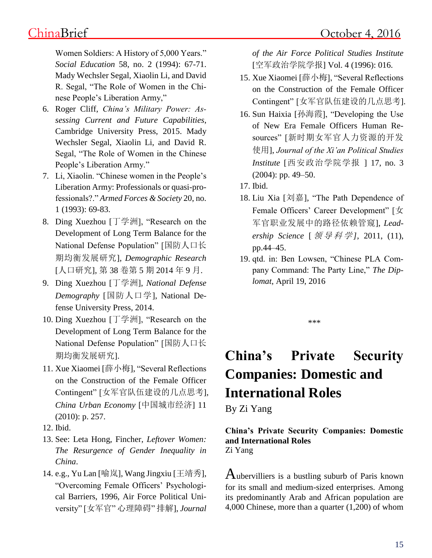Women Soldiers: A History of 5,000 Years." *Social Education* 58, no. 2 (1994): 67-71. Mady Wechsler Segal, Xiaolin Li, and David R. Segal, "The Role of Women in the Chinese People's Liberation Army,"

- 6. Roger Cliff, *China's Military Power: Assessing Current and Future Capabilities*, Cambridge University Press, 2015. Mady Wechsler Segal, Xiaolin Li, and David R. Segal, "The Role of Women in the Chinese People's Liberation Army."
- 7. Li, Xiaolin. "Chinese women in the People's Liberation Army: Professionals or quasi-professionals?." *Armed Forces & Society* 20, no. 1 (1993): 69-83.
- 8. Ding Xuezhou [丁学洲], "Research on the Development of Long Term Balance for the National Defense Population" [国防人口长 期均衡发展研究], *Demographic Research* [人口研究], 第 38 卷第 5 期 2014 年 9 月.
- 9. Ding Xuezhou [丁学洲], *National Defense Demography* [国防人口学], National Defense University Press, 2014.
- 10. Ding Xuezhou [丁学洲], "Research on the Development of Long Term Balance for the National Defense Population" [国防人口长 期均衡发展研究].
- 11. Xue Xiaomei [薛小梅], "Several Reflections on the Construction of the Female Officer Contingent" [女军官队伍建设的几点思考], *China Urban Economy* [中国城市经济] 11 (2010): p. 257.
- 12. Ibid.
- 13. See: Leta Hong, Fincher, *Leftover Women: The Resurgence of Gender Inequality in China*.
- 14. e.g., Yu Lan [喻岚], Wang Jingxiu [王靖秀], "Overcoming Female Officers' Psychological Barriers, 1996, Air Force Political University" [女军官" 心理障碍" 排解], *Journal*

*of the Air Force Political Studies Institute* [空军政治学院学报] Vol. 4 (1996): 016.

- 15. Xue Xiaomei [薛小梅], "Several Reflections on the Construction of the Female Officer Contingent" [女军官队伍建设的几点思考].
- 16. Sun Haixia [孙海霞], "Developing the Use of New Era Female Officers Human Resources" [新时期女军官人力资源的开发 使用], *Journal of the Xi'an Political Studies Institute* [西安政治学院学报 ] 17, no. 3 (2004): pp. 49–50.
- 17. Ibid.
- 18. Liu Xia [刘嘉], "The Path Dependence of Female Officers' Career Development" [女 军官职业发展中的路径依赖管窥], *Lead*ership *Science* [ 领 导 科 学], 2011, (11), pp.44–45.
- 19. qtd. in: Ben Lowsen, "Chinese PLA Company Command: The Party Line," *The Diplomat*, April 19, 2016

\*\*\*

# **China's Private Security Companies: Domestic and International Roles**

By Zi Yang

### **China's Private Security Companies: Domestic and International Roles** Zi Yang

Aubervilliers is a bustling suburb of Paris known for its small and medium-sized enterprises. Among its predominantly Arab and African population are 4,000 Chinese, more than a quarter (1,200) of whom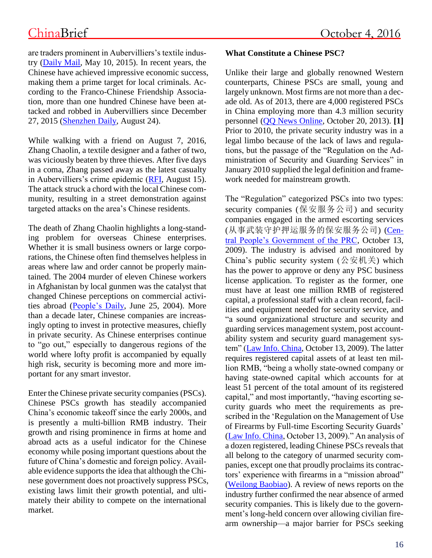are traders prominent in Aubervilliers's textile industry [\(Daily Mail,](http://www.dailymail.co.uk/wires/afp/article-3075349/Chinese-turn-Paris-suburb-Europes-biggest-fashion-market.html) May 10, 2015). In recent years, the Chinese have achieved impressive economic success, making them a prime target for local criminals. According to the Franco-Chinese Friendship Association, more than one hundred Chinese have been attacked and robbed in Aubervilliers since December 27, 2015 [\(Shenzhen Daily,](http://szdaily.sznews.com/html/2016-08/24/content_3602869.htm) August 24).

While walking with a friend on August 7, 2016, Zhang Chaolin, a textile designer and a father of two, was viciously beaten by three thieves. After five days in a coma, Zhang passed away as the latest casualty in Aubervilliers's crime epidemic [\(RFI,](http://en.rfi.fr/france/20160815-french-chinese-community-death-mugging-victim-racist-attacks) August 15). The attack struck a chord with the local Chinese community, resulting in a street demonstration against targeted attacks on the area's Chinese residents.

The death of Zhang Chaolin highlights a long-standing problem for overseas Chinese enterprises. Whether it is small business owners or large corporations, the Chinese often find themselves helpless in areas where law and order cannot be properly maintained. The 2004 murder of eleven Chinese workers in Afghanistan by local gunmen was the catalyst that changed Chinese perceptions on commercial activities abroad [\(People's Daily,](http://www.people.com.cn/GB/guoji/1029/2597995.html) June 25, 2004). More than a decade later, Chinese companies are increasingly opting to invest in protective measures, chiefly in private security. As Chinese enterprises continue to "go out," especially to dangerous regions of the world where lofty profit is accompanied by equally high risk, security is becoming more and more important for any smart investor.

Enter the Chinese private security companies (PSCs). Chinese PSCs growth has steadily accompanied China's economic takeoff since the early 2000s, and is presently a multi-billion RMB industry. Their growth and rising prominence in firms at home and abroad acts as a useful indicator for the Chinese economy while posing important questions about the future of China's domestic and foreign policy. Available evidence supports the idea that although the Chinese government does not proactively suppress PSCs, existing laws limit their growth potential, and ultimately their ability to compete on the international market.

### **What Constitute a Chinese PSC?**

Unlike their large and globally renowned Western counterparts, Chinese PSCs are small, young and largely unknown. Most firms are not more than a decade old. As of 2013, there are 4,000 registered PSCs in China employing more than 4.3 million security personnel [\(QQ News Online,](http://news.qq.com/a/20131020/000223.htm) October 20, 2013). **[1]** Prior to 2010, the private security industry was in a legal limbo because of the lack of laws and regulations, but the passage of the "Regulation on the Administration of Security and Guarding Services" in January 2010 supplied the legal definition and framework needed for mainstream growth.

The "Regulation" categorized PSCs into two types: security companies (保安服务公司) and security companies engaged in the armed escorting services (从事武装守护押运服务的保安服务公司) [\(Cen](http://www.gov.cn/zwgk/2009-10/19/content_1443395.htm)[tral People's Government of the PRC,](http://www.gov.cn/zwgk/2009-10/19/content_1443395.htm) October 13, 2009). The industry is advised and monitored by China's public security system  $(公$ 安机关) which has the power to approve or deny any PSC business license application. To register as the former, one must have at least one million RMB of registered capital, a professional staff with a clean record, facilities and equipment needed for security service, and "a sound organizational structure and security and guarding services management system, post accountability system and security guard management system" [\(Law Info. China,](http://www.lawinfochina.com/display.aspx?lib=law&id=7779) October 13, 2009). The latter requires registered capital assets of at least ten million RMB, "being a wholly state-owned company or having state-owned capital which accounts for at least 51 percent of the total amount of its registered capital," and most importantly, "having escorting security guards who meet the requirements as prescribed in the 'Regulation on the Management of Use of Firearms by Full-time Escorting Security Guards' [\(Law Info. China,](http://www.lawinfochina.com/display.aspx?lib=law&id=7779) October 13, 2009)." An analysis of a dozen registered, leading Chinese PSCs reveals that all belong to the category of unarmed security companies, except one that proudly proclaims its contractors' experience with firearms in a "mission abroad" [\(Weilong Baobiao\)](http://www.vipbodyguard.net/aboutmouxiaolong/jianjie/). A review of news reports on the industry further confirmed the near absence of armed security companies. This is likely due to the government's long-held concern over allowing civilian firearm ownership—a major barrier for PSCs seeking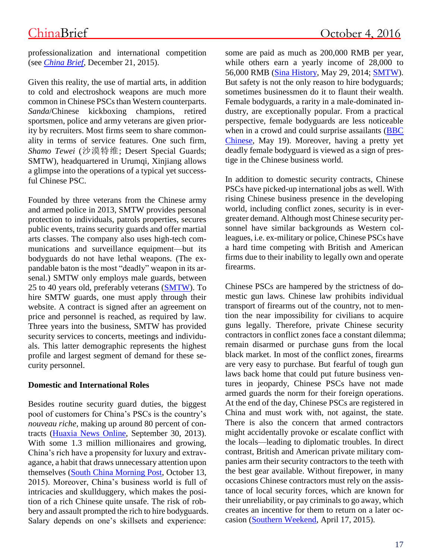professionalization and international competition (see *[China Brief](http://www.jamestown.org/single/?tx_ttnews%5Btt_news%5D=44923&no_cache=1)*, December 21, 2015).

Given this reality, the use of martial arts, in addition to cold and electroshock weapons are much more common in Chinese PSCs than Western counterparts. *Sanda*/Chinese kickboxing champions, retired sportsmen, police and army veterans are given priority by recruiters. Most firms seem to share commonality in terms of service features. One such firm, *Shamo Tewei* (沙漠特维; Desert Special Guards; SMTW), headquartered in Urumqi, Xinjiang allows a glimpse into the operations of a typical yet successful Chinese PSC.

Founded by three veterans from the Chinese army and armed police in 2013, SMTW provides personal protection to individuals, patrols properties, secures public events, trains security guards and offer martial arts classes. The company also uses high-tech communications and surveillance equipment—but its bodyguards do not have lethal weapons. (The expandable baton is the most "deadly" weapon in its arsenal.) SMTW only employs male guards, between 25 to 40 years old, preferably veterans [\(SMTW\)](http://www.xjsmtw.com/). To hire SMTW guards, one must apply through their website. A contract is signed after an agreement on price and personnel is reached, as required by law. Three years into the business, SMTW has provided security services to concerts, meetings and individuals. This latter demographic represents the highest profile and largest segment of demand for these security personnel.

### **Domestic and International Roles**

Besides routine security guard duties, the biggest pool of customers for China's PSCs is the country's *nouveau riche*, making up around 80 percent of contracts [\(Huaxia News Online,](http://www.huaxia.com/tslj/cfht/2013/09/3555962.html) September 30, 2013). With some 1.3 million millionaires and growing, China's rich have a propensity for luxury and extravagance, a habit that draws unnecessary attention upon themselves [\(South China Morning Post,](http://www.scmp.com/news/china/money-wealth/article/1867321/china-be-top-ten-nation-us-dollar-millionaires-2020) October 13, 2015). Moreover, China's business world is full of intricacies and skullduggery, which makes the position of a rich Chinese quite unsafe. The risk of robbery and assault prompted the rich to hire bodyguards. Salary depends on one's skillsets and experience:

some are paid as much as 200,000 RMB per year, while others earn a yearly income of 28,000 to 56,000 RMB [\(Sina History,](http://history.sina.com.cn/bk/sjs/2014-05-29/134492070.shtml) May 29, 2014; [SMTW\)](http://www.xjsmtw.com/cn/case6/18.htm). But safety is not the only reason to hire bodyguards; sometimes businessmen do it to flaunt their wealth. Female bodyguards, a rarity in a male-dominated industry, are exceptionally popular. From a practical perspective, female bodyguards are less noticeable when in a crowd and could surprise assailants (BBC [Chinese,](http://www.bbc.com/zhongwen/simp/china/2016/05/160519_china_female_bodyguards) May 19). Moreover, having a pretty yet deadly female bodyguard is viewed as a sign of prestige in the Chinese business world.

In addition to domestic security contracts, Chinese PSCs have picked-up international jobs as well. With rising Chinese business presence in the developing world, including conflict zones, security is in evergreater demand. Although most Chinese security personnel have similar backgrounds as Western colleagues, i.e. ex-military or police, Chinese PSCs have a hard time competing with British and American firms due to their inability to legally own and operate firearms.

Chinese PSCs are hampered by the strictness of domestic gun laws. Chinese law prohibits individual transport of firearms out of the country, not to mention the near impossibility for civilians to acquire guns legally. Therefore, private Chinese security contractors in conflict zones face a constant dilemma; remain disarmed or purchase guns from the local black market. In most of the conflict zones, firearms are very easy to purchase. But fearful of tough gun laws back home that could put future business ventures in jeopardy, Chinese PSCs have not made armed guards the norm for their foreign operations. At the end of the day, Chinese PSCs are registered in China and must work with, not against, the state. There is also the concern that armed contractors might accidentally provoke or escalate conflict with the locals—leading to diplomatic troubles. In direct contrast, British and American private military companies arm their security contractors to the teeth with the best gear available. Without firepower, in many occasions Chinese contractors must rely on the assistance of local security forces, which are known for their unreliability, or pay criminals to go away, which creates an incentive for them to return on a later occasion [\(Southern Weekend,](http://www.infzm.com/content/108890) April 17, 2015).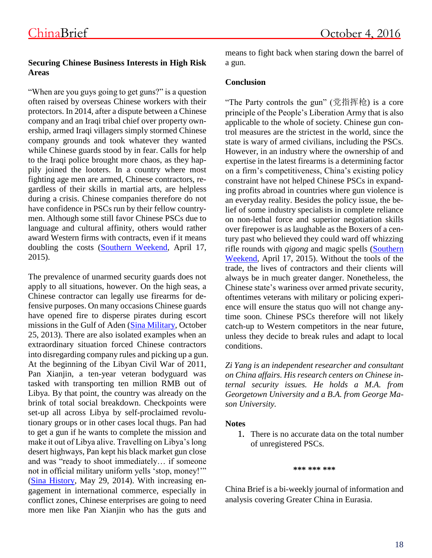### **Securing Chinese Business Interests in High Risk Areas**

"When are you guys going to get guns?" is a question often raised by overseas Chinese workers with their protectors. In 2014, after a dispute between a Chinese company and an Iraqi tribal chief over property ownership, armed Iraqi villagers simply stormed Chinese company grounds and took whatever they wanted while Chinese guards stood by in fear. Calls for help to the Iraqi police brought more chaos, as they happily joined the looters. In a country where most fighting age men are armed, Chinese contractors, regardless of their skills in martial arts, are helpless during a crisis. Chinese companies therefore do not have confidence in PSCs run by their fellow countrymen. Although some still favor Chinese PSCs due to language and cultural affinity, others would rather award Western firms with contracts, even if it means doubling the costs [\(Southern Weekend,](http://www.infzm.com/content/108890) April 17, 2015).

The prevalence of unarmed security guards does not apply to all situations, however. On the high seas, a Chinese contractor can legally use firearms for defensive purposes. On many occasions Chinese guards have opened fire to disperse pirates during escort missions in the Gulf of Aden [\(Sina Military,](http://mil.news.sina.com.cn/2013-10-25/1218746261.html) October 25, 2013). There are also isolated examples when an extraordinary situation forced Chinese contractors into disregarding company rules and picking up a gun. At the beginning of the Libyan Civil War of 2011, Pan Xianjin, a ten-year veteran bodyguard was tasked with transporting ten million RMB out of Libya. By that point, the country was already on the brink of total social breakdown. Checkpoints were set-up all across Libya by self-proclaimed revolutionary groups or in other cases local thugs. Pan had to get a gun if he wants to complete the mission and make it out of Libya alive. Travelling on Libya's long desert highways, Pan kept his black market gun close and was "ready to shoot immediately… if someone not in official military uniform yells 'stop, money!'" [\(Sina History,](http://history.sina.com.cn/bk/sjs/2014-05-29/134492070.shtml) May 29, 2014). With increasing engagement in international commerce, especially in conflict zones, Chinese enterprises are going to need more men like Pan Xianjin who has the guts and

means to fight back when staring down the barrel of a gun.

### **Conclusion**

"The Party controls the gun" (党指挥枪) is a core principle of the People's Liberation Army that is also applicable to the whole of society. Chinese gun control measures are the strictest in the world, since the state is wary of armed civilians, including the PSCs. However, in an industry where the ownership of and expertise in the latest firearms is a determining factor on a firm's competitiveness, China's existing policy constraint have not helped Chinese PSCs in expanding profits abroad in countries where gun violence is an everyday reality. Besides the policy issue, the belief of some industry specialists in complete reliance on non-lethal force and superior negotiation skills over firepower is as laughable as the Boxers of a century past who believed they could ward off whizzing rifle rounds with *qigong* and magic spells [\(Southern](http://www.infzm.com/content/108890)  [Weekend,](http://www.infzm.com/content/108890) April 17, 2015). Without the tools of the trade, the lives of contractors and their clients will always be in much greater danger. Nonetheless, the Chinese state's wariness over armed private security, oftentimes veterans with military or policing experience will ensure the status quo will not change anytime soon. Chinese PSCs therefore will not likely catch-up to Western competitors in the near future, unless they decide to break rules and adapt to local conditions.

*Zi Yang is an independent researcher and consultant on China affairs. His research centers on Chinese internal security issues. He holds a M.A. from Georgetown University and a B.A. from George Mason University.*

### **Notes**

1. There is no accurate data on the total number of unregistered PSCs.

**\*\*\* \*\*\* \*\*\***

China Brief is a bi-weekly journal of information and analysis covering Greater China in Eurasia.